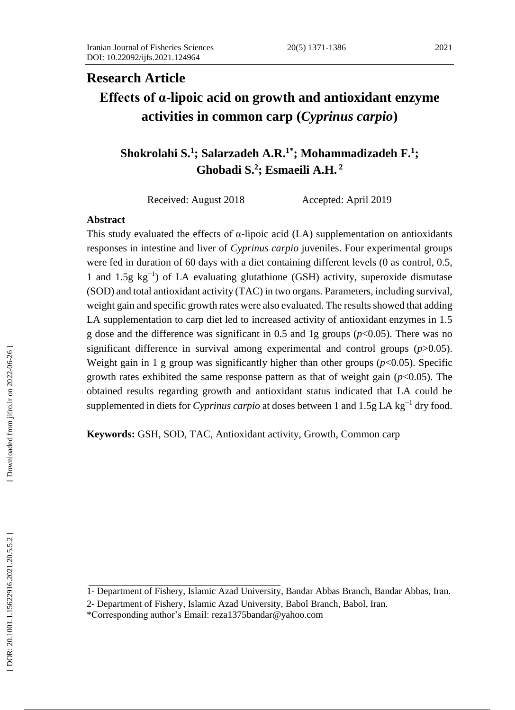# **Research Article Effects of α -lipoic acid on growth and antioxidant enzyme activities in common carp (***Cyprinus carpio* **)**

**Shokrolahi S. 1 ; Salarzadeh A.R. 1 \* ; Mohammadi zadeh F. 1 ; Ghobadi S. 2 ; Esmaeili A.H. 2**

Received: August 2018 Accepted: April 2019

#### **Abstract**

This study evaluated the effects of  $\alpha$ -lipoic acid (LA) supplementation on antioxidants responses in intestine and liver of *Cyprinus carpio* juveniles. Four experimental groups were fed in duration of 60 days with a diet containing different levels ( 0 as control, 0.5, 1 and 1.5g kg<sup>-1</sup>) of LA evaluating glutathione (GSH) activity, superoxide dismutase (SOD) and total antioxidant activity (TAC) in two organs. Parameters , including survival, weight gain and specific growth rates were also evaluated. The results showed that adding LA supplementation to carp diet led to increased activity of antioxidant enzymes in 1.5 g dose and the difference was significant in  $0.5$  and 1g groups  $(p<0.05)$ . There was no significant difference in survival among experimental and control groups (*p*>0.05). Weight gain in 1 g group was significantly higher than other groups (*p*<0.05). Specific growth rates exhibited the same response pattern as that of weight gain  $(p<0.05)$ . The obtained results regarding growth and antioxidant status indicated that LA could be supplemented in diets for *Cyprinus carpio* at doses between 1 and 1.5g LA kg<sup>-1</sup> dry food.

**Keywords:** GSH, SOD, TAC, Antioxidant activity, Growth, Common carp

<sup>1</sup> - Department of Fishery, Islamic Azad University, Bandar Abbas Branch, Bandar Abbas, Iran.

<sup>2</sup> - Department of Fishery, Islamic Azad University, Babol Branch, Babol, Iran.

<sup>\*</sup>Corresponding author's Email: [reza1375bandar@yahoo.com](mailto:reza1375bandar@yahoo.com)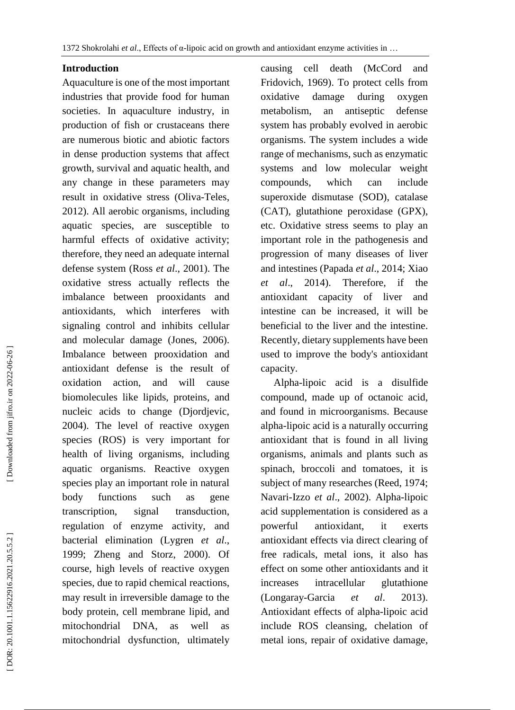## **Introduction**

Aquaculture is one of the most important industries that provide food for human societies. In aquaculture industry, in production of fish or crustaceans there are numerous biotic and abiotic factors in dense production system s that affect growth, survival and aquatic health, and any change in these parameters may result in oxidative stress (Oliva -Teles , 2012). All aerobic organisms, including aquatic species, are susceptible to harmful effects of oxidative activity; therefore, they need an adequate internal defense system (Ross *et al*., 2001). The oxidative stress actually reflects the imbalance between prooxidants and antioxidants, which interferes with signaling control and inhibits cellular and molecular damage (Jones, 2006). Imbalance between prooxidation and antioxidant defense is the result of oxidation action, and will cause biomolecules like lipids, proteins, and nucleic acids to change (Djordjevic, 2004). The level of reactive oxygen species (ROS) is very important for health of living organisms, including aquatic organisms. Reactive oxygen species play an important role in natural body functions such as gene transcription, signal transduction, regulation of enzyme activity, and bacterial elimination (Lygren *et al*., 1999; Zheng and Storz, 2000). Of course, high levels of reactive oxygen species, due to rapid chemical reactions, may result in irreversible damage to the body protein, cell membrane lipid, and mitochondrial DNA, as well as mitochondrial dysfunction, ultimately

causing cell death (McCord and Fridovich, 1969). To protect cells from oxidative damage during oxygen metabolism, an antiseptic defense system has probably evolved in aerobic organisms. The system includes a wide range of mechanisms, such as enzymatic systems and low molecular weight compounds, which can include superoxide dismutase (SOD), catalase (CAT), glutathione peroxidase (GPX), etc. Oxidative stress seems to play an important role in the pathogenesis and progression of many diseases of liver and intestines (Papada *et al*., 2014; Xiao *et al*., 2014). Therefore, if the antioxidant capacity of liver and intestine can be increased, it will be beneficial to the liver and the intestine. Recently, dietary supplements have been used to improve the body's antioxidant capacity.

 Alpha -lipoic acid is a disulfide compound, made up of octanoic acid, and found in microorganisms. Because alpha -lipoic acid is a naturally occurring antioxidant that is found in all living organisms, animals and plants such as spinach, broccoli and tomatoes, it is subject of many researches (Reed, 1974; Navari -Izzo *et al*., 2002). Alpha -lipoic acid supplementation is considered as a powerful antioxidant, it exerts antioxidant effects via direct clearing of free radicals, metal ions, it also has effect on some other antioxidants and it increases intracellular glutathione (Longaray -Garcia *et al*. 2013). Antioxidant effects of alpha -lipoic acid include ROS cleansing, chelation of metal ions, repair of oxidative damage,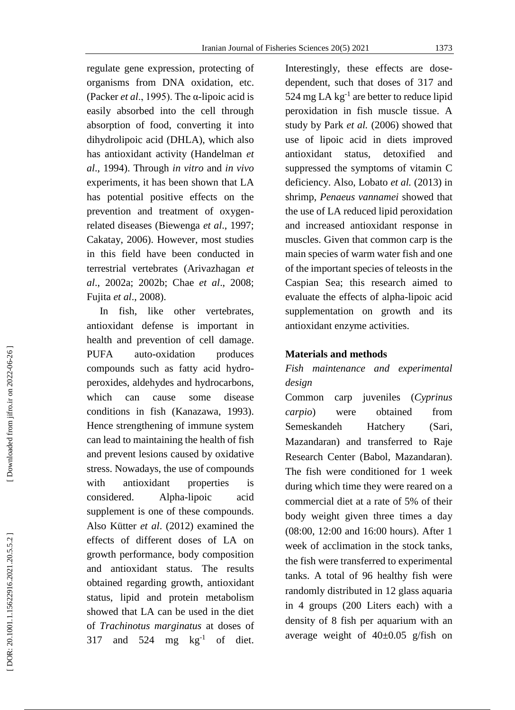regulate gene expression, protecting of organisms from DNA oxidation, etc. (Packer *et al*., 1995). The α -lipoic acid is easily absorbed into the cell through absorption of food, converting it into dihydrolipoic acid (DHLA), which also has antioxidant activity (Handelman *et al*., 1994). Through *in vitro* and *in vivo* experiments, it has been shown that LA has potential positive effects on the prevention and treatment of oxygen related diseases (Biewenga *et al*., 1997; Cakatay, 2006). However, most studies in this field have been conducted in terrestrial vertebrates (Arivazhagan *et al*., 2002 a; 2002 b ; Chae *et al*., 2008; Fujita *et al*., 2008).

 In fish , like other vertebrates, antioxidant defense is important in health and prevention of cell damage. **PUFA** auto-oxidation produces compounds such as fatty acid hydro peroxides, aldehydes and hydrocarbons, which can cause some disease conditions in fish (Kanazawa, 1993). Hence strengthening of immune system can lead to maintaining the health of fish and prevent lesions caused by oxidative stress. Nowadays, the use of compounds with antioxidant properties is considered. Alpha-lipoic acid supplement is one of these compounds. Also Kütter *et al*. (2012) examined the effects of different doses of LA on growth performance, body composition and antioxidant status. The results obtained regarding growth, antioxidant status, lipid and protein metabolism showed that LA can be used in the diet of *Trachinotus marginatus* at doses of 317 and  $524 \text{ mg} \text{ kg}^{-1}$  of diet.

Interestingly, these effects are dose dependent, such that doses of 317 and 524 mg LA  $kg^{-1}$  are better to reduce lipid peroxidation in fish muscle tissue. A study by Park *et al.* (2006) showed that use of lipoic acid in diets improved antioxidant status, detoxified and suppressed the symptoms of vitamin C deficiency. Also, Lobato *et al.* (2013) in shrimp, *Penaeus vannamei* showed that the use of LA reduced lipid peroxidation and increased antioxidant response in muscles. Given that common carp is the main species of warm water fish and one of the important species of teleosts in the Caspian Sea; this research aimed to evaluate the effects of alpha -lipoic acid supplementation on growth and its antioxidant enzyme activities.

### **Materials and methods**

## *Fish maintenance and experimental design*

Common carp juveniles (*Cyprinus carpio*) were obtained from Semeskandeh Hatchery (Sari, Mazandaran) and transferred to Raje Research Center (Babol, Mazandaran). The fish were conditioned for 1 week during which time they were reared on a commercial diet at a rate of 5% of their body weight given three times a day (08:00, 12:00 and 16:00 hours). After 1 week of acclimation in the stock tanks, the fish were transferred to experimental tanks. A total of 96 healthy fish were randomly distributed in 12 glass aquaria in 4 groups (200 Liter s each) with a density of 8 fish per aquarium with an average weight of 40±0.05 g/fish on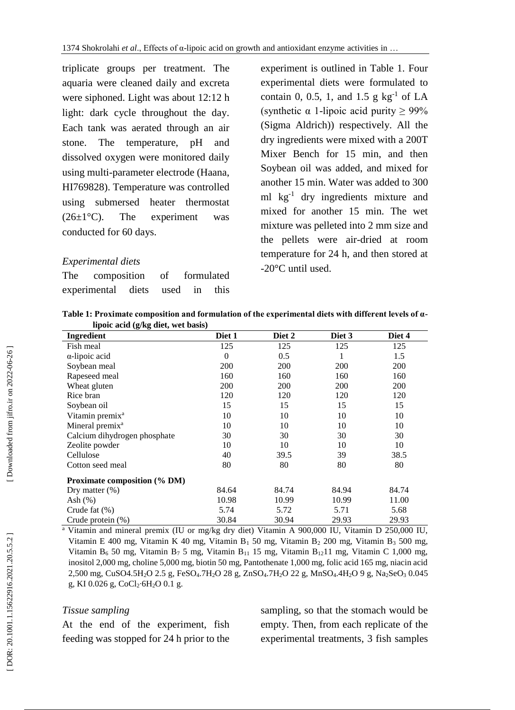triplicate groups per treatment. The aquaria were cleaned daily and excreta were siphoned. Light was about 12:12 h light: dark cycle throughout the day. Each tank was aerated through an air stone. The temperature, pH and dissolved oxygen were monitored daily using multi -parameter electrode (Haana, HI769828). Temperature was controlled using submersed heater thermostat  $(26\pm1\degree C)$ . The experiment was conducted for 60 days.

## *Experimental diets*

| The composition of formulated   |  |  |
|---------------------------------|--|--|
| experimental diets used in this |  |  |

experiment is outlined in Table 1. Four experimental diets were formulated to contain 0, 0.5, 1, and 1.5  $g \text{ kg}^{-1}$  of LA (synthetic  $\alpha$  1-lipoic acid purity  $\geq 99\%$ (Sigma Aldrich)) respectively. All the dry ingredients were mixed with a 200T Mixer Bench for 15 min, and then Soybean oil was added, and mixed for another 15 min. Water was added to 300 ml kg - 1 dry ingredients mixture and mixed for another 15 min. The wet mixture was pelleted into 2 mm size and the pellets were air -dried at room temperature for 24 h, and then stored at -20°C until used.

|                                    | Table 1: Proximate composition and formulation of the experimental diets with different levels of $a$ - |
|------------------------------------|---------------------------------------------------------------------------------------------------------|
| lipoic acid (g/kg diet, wet basis) |                                                                                                         |

| o<br>Ingredient                     | Diet 1   | Diet 2 | Diet 3 | Diet 4 |  |
|-------------------------------------|----------|--------|--------|--------|--|
| Fish meal                           | 125      | 125    | 125    | 125    |  |
| $\alpha$ -lipoic acid               | $\Omega$ | 0.5    |        | 1.5    |  |
| Soybean meal                        | 200      | 200    | 200    | 200    |  |
| Rapeseed meal                       | 160      | 160    | 160    | 160    |  |
| Wheat gluten                        | 200      | 200    | 200    | 200    |  |
| Rice bran                           | 120      | 120    | 120    | 120    |  |
| Soybean oil                         | 15       | 15     | 15     | 15     |  |
| Vitamin premix <sup>a</sup>         | 10       | 10     | 10     | 10     |  |
| Mineral premix <sup>a</sup>         | 10       | 10     | 10     | 10     |  |
| Calcium dihydrogen phosphate        | 30       | 30     | 30     | 30     |  |
| Zeolite powder                      | 10       | 10     | 10     | 10     |  |
| Cellulose                           | 40       | 39.5   | 39     | 38.5   |  |
| Cotton seed meal                    | 80       | 80     | 80     | 80     |  |
| <b>Proximate composition (% DM)</b> |          |        |        |        |  |
| Dry matter $(\%)$                   | 84.64    | 84.74  | 84.94  | 84.74  |  |
| Ash $(\%)$                          | 10.98    | 10.99  | 10.99  | 11.00  |  |
| Crude fat $(\%)$                    | 5.74     | 5.72   | 5.71   | 5.68   |  |
| Crude protein $(\%)$                | 30.84    | 30.94  | 29.93  | 29.93  |  |

<sup>a</sup> Vitamin and mineral premix (IU or mg/kg dry diet) Vitamin A 900,000 IU, Vitamin D 250,000 IU, Vitamin E 400 mg, Vitamin K 40 mg, Vitamin B <sup>1</sup> 50 mg, Vitamin B <sup>2</sup> 200 mg, Vitamin B <sup>3</sup> 500 mg, Vitamin B<sub>6</sub> 50 mg, Vitamin B<sub>7</sub> 5 mg, Vitamin B<sub>11</sub> 15 mg, Vitamin B<sub>12</sub>11 mg, Vitamin C 1,000 mg, inositol 2,000 mg, choline 5,000 mg, biotin 50 mg, Pantothenate 1,000 mg, folic acid 165 mg, niacin acid 2,500 mg, CuSO4.5H <sup>2</sup>O 2.5 g, FeSO <sup>4</sup>.7H <sup>2</sup>O 28 g, ZnSO <sup>4</sup>.7H <sup>2</sup>O 22 g, MnSO <sup>4</sup>.4H <sup>2</sup>O 9 g, Na <sup>2</sup>SeO <sup>3</sup> 0.045 g, KI 0.026 g, CoCl 2 ∙6H <sup>2</sup>O 0.1 g.

#### *Tissue sampling*

At the end of the experiment, fish feeding was stopped for 24 h prior to the sampling, so that the stomach would be empty. Then, from each replicate of the experimental treatments , 3 fish samples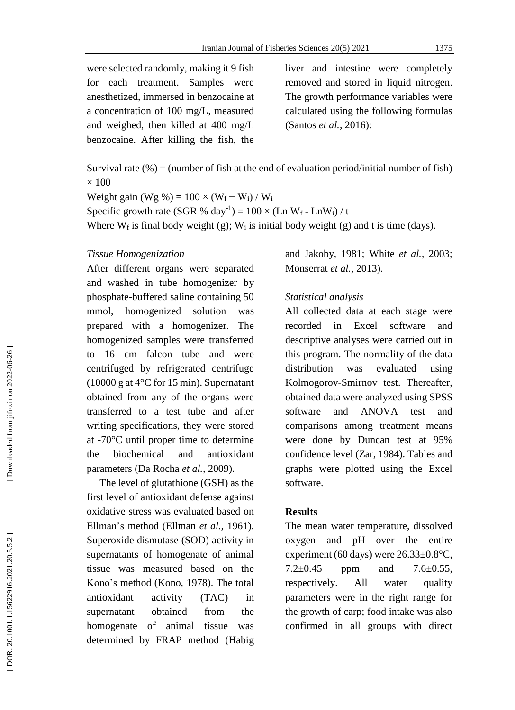were selected randomly, making it 9 fish for each treatment. Samples were anesthetized, immersed in benzocaine at a concentration of 100 mg/L, measured and weighed, then killed at 400 mg/L benzocaine. After killing the fish, the

liver and intestine were completely removed and stored in liquid nitrogen. The growth performance variables were calculated using the following formulas (Santos *et al.*, 2016 ) :

Survival rate  $(\%)$  = (number of fish at the end of evaluation period/initial number of fish)  $\times$  100

Weight gain (Wg %) =  $100 \times (W_f - W_i) / W_i$ Specific growth rate (SGR % day<sup>-1</sup>) =  $100 \times (Ln W_f - Ln W_i) / t$ Where  $W_f$  is final body weight (g);  $W_i$  is initial body weight (g) and t is time (days).

#### *Tissue Homogenization*

After different organs were separated and washed in tube homogenizer by phosphate -buffered saline containing 50 mmol, homogenized solution was prepared with a homogenizer. The homogenized samples were transferred to 16 cm falcon tube and were centrifuged by refrigerated centrifuge (10000 g at 4°C for 15 min). Supernatant obtained from any of the organs were transferred to a test tube and after writing specifications, they were stored at -70°C until proper time to determine the biochemical and antioxidant parameters (Da Rocha *et al.,* 2009) .

 The level of glutathione (GSH ) as the first level of antioxidant defense against oxidative stress was evaluated based on Ellman's method (Ellman *et al.,* 1961). Superoxide dismutase (SOD) activity in supernatants of homogenate of animal tissue was measured based on the Kono's method (Kono, 1978). The total antioxidant activity (TAC) in supernatant obtained from the homogenate of animal tissue was determined by FRAP method (Habig

and Jakoby, 1981; White *et al.* , 2003; Monserrat *et al.* , 2013).

#### *Statistical analysis*

All collected data at each stage were recorded in Excel software and descriptive analyses were carried out in this program. The normality of the data distribution was evaluated using Kolmogorov -Smirnov test. Thereafter, obtained data were analyzed using SPSS software and ANOVA test and comparisons among treatment means were done by Duncan test at 95% confidence level (Zar , 1984). Tables and graphs were plotted using the Excel software.

#### **Results**

The mean water temperature, dissolved oxygen and pH over the entire experiment (60 days) were 26.33±0.8°C, 7.2 $\pm$ 0.45 ppm and 7.6 $\pm$ 0.55, respectively. All water quality parameters were in the right range for the growth of carp; food intake was also confirmed in all groups with direct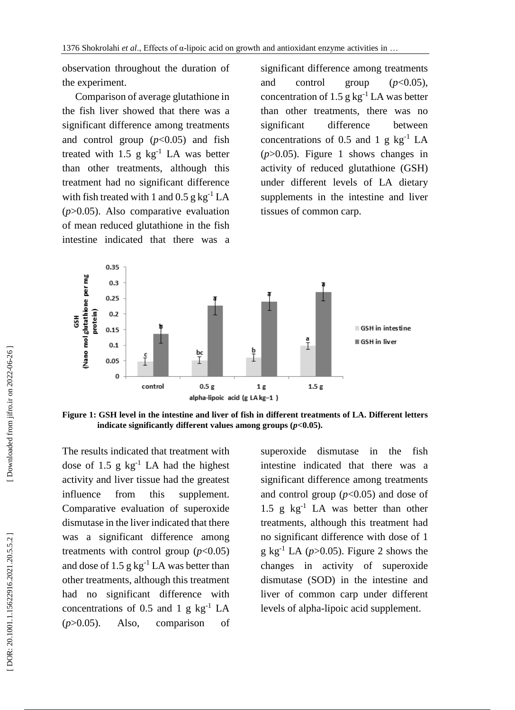observation throughout the duration of the experiment.

 Comparison of average glutathione in the fish liver showed that there was a significant difference among treatments and control group  $(p<0.05)$  and fish treated with  $1.5$  g  $\text{kg}^{-1}$  LA was better than other treatments, although this treatment ha d no significant difference with fish treated with 1 and  $0.5$  g kg<sup>-1</sup> LA (*p*>0.05). Also comparative evaluation of mean reduced glutathione in the fish intestine indicate d that there was a

significant difference among treatments and control group  $(p<0.05)$ , concentration of 1.5  $g kg^{-1} LA$  was better than other treatments, there was no significant difference between concentrations of 0.5 and 1  $g kg^{-1} LA$  $(p>0.05)$ . Figure 1 shows changes in activity of reduced glutathione (GSH) under different levels of LA dietary supplements in the intestine and liver tissues of common carp.



**Figure 1 : GSH level in the intestine and liver of fish in different treatments of LA. Different letters indicate significantly different values among groups (***p***<0.05).**

The results indicate d that treatment with dose of 1.5  $g kg^{-1}$  LA had the highest activity and liver tissue ha d the greatest influence from this supplement. Comparative evaluation of superoxide dismutase in the liver indicate d that there was a significant difference among treatments with control group  $(p<0.05)$ and dose of  $1.5$  g kg<sup>-1</sup> LA was better than other treatments, although this treatment had no significant difference with concentrations of 0.5 and 1  $g kg^{-1} LA$ (*p*>0.05). Also, comparison of

superoxide dismutase in the fish intestine indicate d that there was a significant difference among treatments and control group  $(p<0.05)$  and dose of 1.5 g kg - <sup>1</sup> LA was better than other treatments, although this treatment ha d no significant difference with dose of 1  $g \text{ kg}^{-1}$  LA ( $p > 0.05$ ). Figure 2 shows the changes in activity of superoxide dismutase (SOD) in the intestine and liver of common carp under different levels of alpha -lipoic acid supplement.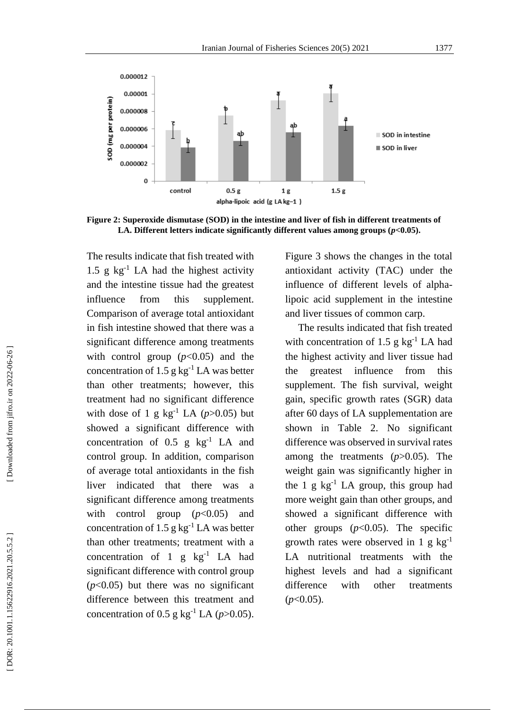

**Figure 2 : Superoxide dismutase (SOD) in the intestine and liver of fish in different treatments of LA. Different letters indicate significantly different values among groups**  $(p<0.05)$ **.** 

The results indicate that fish treated with  $1.5$  g kg<sup>-1</sup> LA had the highest activity and the intestine tissue had the greatest influence from this supplement. Comparison of average total antioxidant in fish intestine showed that there was a significant difference among treatments with control group  $(p<0.05)$  and the concentration of 1.5  $g kg^{-1} LA$  was better than other treatments; however, this treatment ha d no significant difference with dose of 1 g  $\text{kg}^{-1}$  LA ( $p > 0.05$ ) but showed a significant difference with concentration of  $0.5$  g  $\text{kg}^{-1}$  LA and control group. In addition, comparison of average total antioxidants in the fish liver indicate d that there was a significant difference among treatments with control group ( $p<0.05$ ) and concentration of 1.5  $g kg^{-1} LA$  was better than other treatments; treatment with a concentration of 1  $g$   $kg^{-1}$  LA had significant difference with control group  $(p<0.05)$  but there was no significant difference between this treatment and concentration of  $0.5$  g kg<sup>-1</sup> LA ( $p > 0.05$ ).

Figure 3 shows the changes in the total antioxidant activity (TAC) under the influence of different levels of alpha lipoic acid supplement in the intestine and liver tissues of common carp.

The results indicated that fish treated with concentration of 1.5  $g kg^{-1} LA$  had the highest activity and liver tissue ha d the greatest influence from this supplement. The fish survival, weight gain, specific growth rates (SGR ) data after 60 days of LA supplementation are shown in Table 2. No significant difference was observed in survival rates among the treatments (*p*>0.05). The weight gain was significantly higher in the 1 g  $kg^{-1}$  LA group, this group had more weight gain than other groups, and showed a significant difference with other groups  $(p<0.05)$ . The specific growth rates were observed in 1 g  $kg^{-1}$ LA nutritional treatments with the highest levels and had a significant difference with other treatments (*p*<0.05).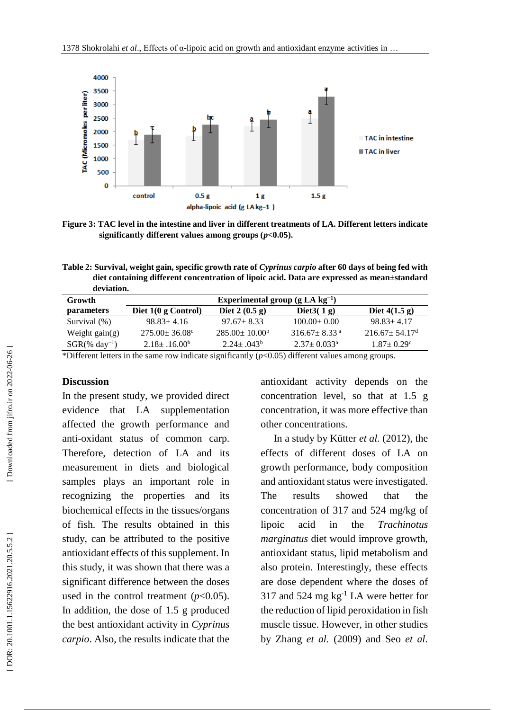

**Figure 3 : TAC level in the intestine and liver in different treatments of LA. Different letters indicate significantly different values among groups (***p***<0.05).**

**Table 2: Survival, weight gain, specific growth rate of** *Cyprinus carpio* **after 60 days of being fed with diet containing different concentration of lipoic acid. Data are expressed as mean±standard deviation.**

| Growth                       | Experimental group $(g LA kg^{-1})$ |                            |                                |                                 |  |
|------------------------------|-------------------------------------|----------------------------|--------------------------------|---------------------------------|--|
| <i>parameters</i>            | Diet $1(0 \text{ g Control})$       | Diet $2(0.5 g)$            | Diet $3(1g)$                   | Diet $4(1.5 \text{ g})$         |  |
| Survival $(\%)$              | $98.83 \pm 4.16$                    | $97.67 \pm 8.33$           | $100.00 \pm 0.00$              | $98.83 \pm 4.17$                |  |
| Weight $gain(g)$             | $275.00 \pm 36.08$ °                | $285.00 \pm 10.00^{\circ}$ | $316.67 \pm 8.33$ <sup>a</sup> | $216.67 \pm 54.17$ <sup>d</sup> |  |
| $SGR$ (% day <sup>-1</sup> ) | $2.18 \pm .16.00^b$                 | $2.24 \pm .043^b$          | $2.37 \pm 0.033^{\circ}$       | $1.87 \pm 0.29$ °               |  |
|                              |                                     |                            |                                |                                 |  |

\*Different letters in the same row indicate significantly  $(p<0.05)$  different values among groups.

## **Discussion**

In the present study, we provided direct evidence that LA supplementation affected the growth performance and anti -oxidant status of common carp. Therefore, detection of LA and its measurement in diets and biological samples plays an important role in recognizing the properties and its biochemical effects in the tissues/organs of fish. The results obtained in this study, can be attributed to the positive antioxidant effects of this supplement. In this study, it was shown that there was a significant difference between the doses used in the control treatment  $(p<0.05)$ . In addition, the dose of 1.5 g produced the best antioxidant activity in *Cyprinus carpio*. Also, the results indicate that the

antioxidant activity depends on the concentration level, so that at 1.5 g concentration, it was more effective than other concentrations.

 In a study by Kütter *et al.* (2012) , the effects of different doses of LA on growth performance, body composition and antioxidant status were investigated . The results showed that the concentration of 317 and 524 mg/kg of lipoic acid in the *Trachinotus marginatus* diet would improve growth, antioxidant status, lipid metabolism and also protein. Interestingly, these effects are dose dependent where the dose s of 317 and 524 mg  $kg^{-1}$  LA were better for the reduction of lipid peroxidation in fish muscle tissue. However, in other studies by Zhang *et al.* (2009) and Seo *et al.*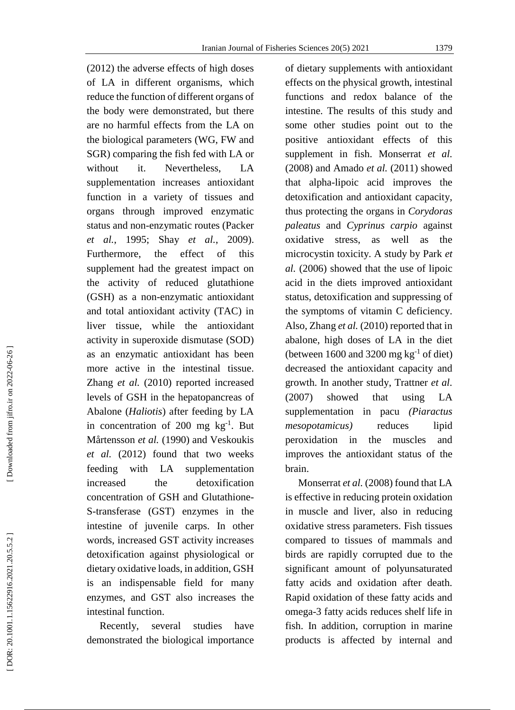(2012) the adverse effects of high doses of LA in different organisms, which reduce the function of different organs of the body were demonstrated, but there are no harmful effects from the LA on the biological parameters (WG, FW and SGR) comparing the fish fed with LA or without it. Nevertheless, LA supplementation increases antioxidant function in a variety of tissues and organs through improved enzymatic status and non -enzymatic routes (Packer *et al.*, 1995; Shay *et al.*, 2009). Furthermore, the effect of this supplement ha d the greatest impact on the activity of reduced glutathione (GSH) as a non -enzymatic antioxidant and total antioxidant activity (TAC) in liver tissue, while the antioxidant activity in superoxide dismutase (SOD) as an enzymatic antioxidant has been more active in the intestinal tissue. Zhang *et al.* (2010) reported increased levels of GSH in the hepatopancreas of Abalone (*Haliotis*) after feeding by LA in concentration of 200 mg  $kg^{-1}$ . But Mårtensson *et al.* (1990) and Veskoukis *et al.* (2012) found that two weeks feeding with LA supplementation increased the detoxification concentration of GSH and Glutathione - S -transferase (GST ) enzymes in the intestine of juvenile carps. In other words, increased GST activity increases detoxification against physiological or dietary oxidative loads, in addition, GSH is an indispensable field for many enzymes, and GST also increases the intestinal function.

 Recently, several studies have demonstrated the biological importance of dietary supplements with antioxidant effects on the physical growth, intestinal functions and redox balance of the intestine. The results of this study and some other studies point out to the positive antioxidant effects of this supplement in fish. Monserrat *et al.* (2008) and Amado *et al.* (2011) showed that alpha -lipoic acid improves the detoxification and antioxidant capacity, thus protecting the organs in *Corydoras paleatus* and *Cyprinus carpio* against oxidative stress, as well as the microcystin toxicity. A study by Park *et al.* (2006) showed that the use of lipoic acid in the diets improved antioxidant status, detoxification and suppressing of the symptoms of vitamin C deficiency. Also, Zhang *et al.* (2010) reported that in abalone, high doses of LA in the diet (between  $1600$  and  $3200$  mg kg<sup>-1</sup> of diet) decreased the antioxidant capacity and growth. In another study, Trattner *et al.* (2007) showed that using LA supplementation in pacu *(Piaractus mesopotamicus)* reduces lipid peroxidation in the muscles and improves the antioxidant status of the brain.

 Monserrat *et al.* (2008) found that LA is effective in reducing protein oxidation in muscle and liver, also in reducing oxidative stress parameters. Fish tissues compared to tissues of mammals and birds are rapidly corrupted due to the significant amount of polyunsaturated fatty acids and oxidation after death. Rapid oxidation of these fatty acids and omega - 3 fatty acids reduces shelf life in fish. In addition, corruption in marine products is affected by internal and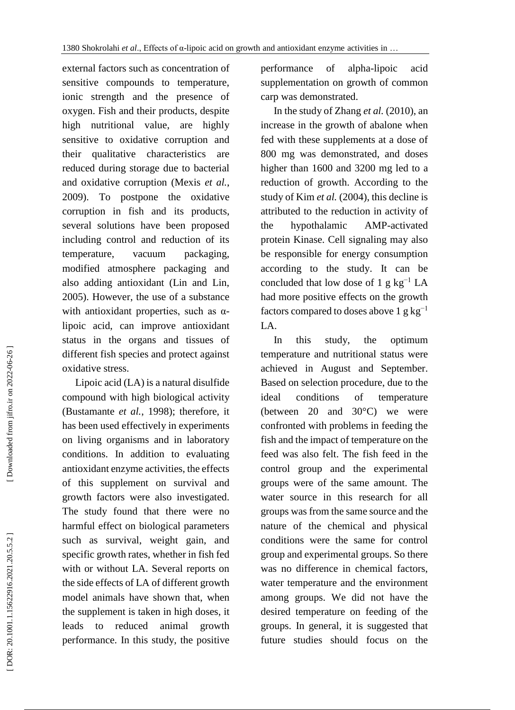external factors such as concentration of sensitive compounds to temperature, ionic strength and the presence of oxygen. Fish and their products, despite high nutritional value, are highly sensitive to oxidative corruption and their qualitative characteristics reduced during storage due to bacterial and oxidative corruption (Mexis *et al .* , 2009). To postpone the oxidative corruption in fish and its products, several solutions have been proposed including control and reduction of its temperature, vacuum packaging, modified atmosphere packaging and also adding antioxidant (Lin and Lin, 2005). However, the use of a substance with antioxidant properties, such as  $\alpha$ lipoic acid, can improve antioxidant status in the organs and tissues of different fish species and protect against oxidative stress.

 Lipoic acid (LA) is a natural disulfide compound with high biological activity (Bustamante *et al.*, 1998); therefore, it has been used effectively in experiments on living organisms and in laboratory conditions. In addition to evaluating antioxidant enzyme activities, the effects of this supplement on survival and growth factors were also investigated. The study found that there were no harmful effect on biological parameters such as survival, weight gain, and specific growth rates, whether in fish fed with or without LA. Several reports on the side effects of LA of different growth model animals have shown that, when the supplement is taken in high doses, it leads to reduced animal growth performance. In this study, the positive performance of alpha-lipoic acid supplementation on growth of common carp was demonstrated .

 In the study of Zhang *et al.* (2010), an increase in the growth of abalone when fed with these supplements at a dose of 800 mg was demonstrated, and doses higher than 1600 and 3200 mg led to a reduction of growth. According to the stud y of Kim *et al.* (2004), this decline is attributed to the reduction in activity of the hypothalamic AMP-activated protein Kinase. Cell signaling may also be responsible for energy consumption according to the study . It can be concluded that low dose of 1 g  $kg^{-1}$  LA had more positive effect s on the growth factors compared to doses above 1 g  $kg^{-1}$ LA .

 In this study, the optimum temperature and nutritional status were achieved in August and September . Based on selection procedure, due to the ideal conditions of temperature (between 20 and 30°C) we were confronted with problems in feeding the fish and the impact of temperature on the feed was also felt. The fish feed in the control group and the experimental groups were of the same amount. The water source in this research for all groups was from the same source and the nature of the chemical and physical conditions were the same for control group and experimental groups. So there was no difference in chemical factors, water temperature and the environment among groups . We did not have the desired temperature on feeding of the groups. In general, it is suggested that future studies should focus on the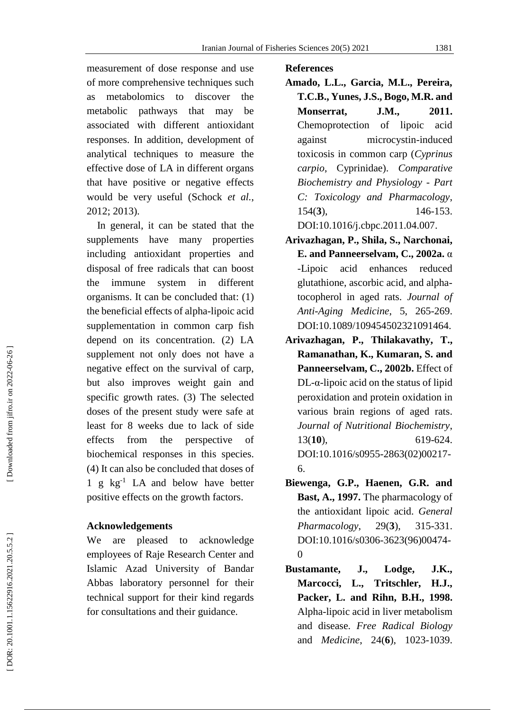measurement of dose response and use of more comprehensive techniques such as metabolomics to discover the metabolic pathways that may be associated with different antioxidant responses. In addition, development of analytical techniques to measure the effective dose of LA in different organs that have positive or negative effects would be very useful (Schock *et al.*, 2012 ; 2013).

In general, it can be stated that the supplements have many properties including antioxidant properties and disposal of free radicals that can boost the immune system in different organisms. It can be concluded that: (1) the beneficial effects of alpha -lipoic acid supplementation in common carp fish depend on its concentration. (2) LA supplement not only does not have a negative effect on the survival of carp, but also improves weight gain and specific growth rates . (3) The selected doses of the present study were safe at least for 8 weeks due to lack of side effects from the perspective of biochemical responses in this species. (4) It can also be concluded that doses of 1 g kg - <sup>1</sup> LA and below have better positive effects on the growth factors .

## **Acknowledgements**

We are pleased to acknowledge employees of Raje Research Center and Islamic Azad University of Bandar Abbas laboratory personnel for their technical support for their kind regards for consultations and their guidance .

#### **References**

- **Amado, L.L., Garcia, M.L., Pereira, T.C.B., Yunes, J.S., Bogo, M.R. and Monserrat, J.M. , 2011.** Chemoprotection of lipoic acid against microcystin -induced toxicosis in common carp (*Cyprinus carpio*, Cyprinidae). *Comparative Biochemistry and Physiology - Part C: Toxicology and Pharmacology* , 154 ( **3**), 146 -153.
	- DOI[:10.1016/j.cbpc.2011.04.007](https://doi.org/10.1016/j.cbpc.2011.04.007) .
- **Arivazhagan , P., Shila, S., Narchonai, E.** and Panneerselvam, C., 2002a.  $\alpha$ -Lipoic acid enhances reduced glutathione, ascorbic acid, and alpha tocopherol in aged rats. *Journal of Anti -Aging Medicine* , 5 , 265 -269. [DOI:10.1089/109454502321091464](https://doi.org/10.1089/109454502321091464) .
- **Arivazhagan, P., Thilakavathy, T., Ramanathan, K., Kumaran, S. and Panneerselvam, C. , 2002 b .** Effect of  $DL$ - $\alpha$ -lipoic acid on the status of lipid peroxidation and protein oxidation in various brain regions of aged rats. *Journal of Nutritional Biochemistry*, 13 (**10**), 619 619-624. [DOI:10.1016/s0955](https://doi.org/10.1016/s0955-2863\(02\)00217-6)-2863(02)00217-[6](https://doi.org/10.1016/s0955-2863\(02\)00217-6) .
- **Biewenga , G.P., Haenen, G.R. and Bast, A. , 1997.** The pharmacology of the antioxidant lipoic acid. *General Pharmacology,*  $29(3)$ , **3**), 315 -331. [DOI:10.1016/s0306](https://doi.org/10.1016/s0306-3623\(96\)00474-0)-3623(96)00474-[0](https://doi.org/10.1016/s0306-3623\(96\)00474-0)
- **Bustamante, J., Lodge, J.K., Marcocci, L., Tritschler, H.J., Packer, L. and Rihn, B.H. , 1998.** Alpha -lipoic acid in liver metabolism and disease. *Free Radical Biology* and *Medicine*, 24 ( **6**), 1023 -1039.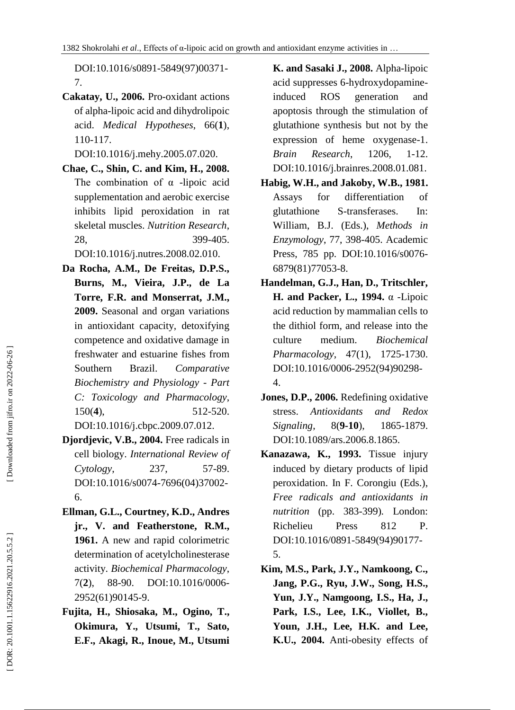[DOI:10.1016/s0891](https://doi.org/10.1016/s0891-5849\(97\)00371-7) -5849(97)00371 - [7](https://doi.org/10.1016/s0891-5849\(97\)00371-7) .

**Cakatay, U. , 2006.** Pro -oxidant actions of alpha -lipoic acid and dihydrolipoic acid. *Medical Hypotheses*, 66 ( **1**), 110 -117.

[DOI:10.1016/j.mehy.2005.07.020](https://doi.org/10.1016/j.mehy.2005.07.020) .

**Chae , C., Shin, C. and Kim, H. , 2008.** The combination of  $\alpha$  -lipoic acid supplementation and aerobic exercise inhibits lipid peroxidation in rat skeletal muscles. *Nutrition Research*, 28 , 399 -405.

[DOI:10.1016/j.nutres.2008.02.010](https://doi.org/10.1016/j.nutres.2008.02.010) .

- **Da Rocha, A.M., De Freitas, D.P.S., Burns, M., Vieira, J.P., de La Torre, F.R. and Monserrat, J.M. , 2009.** Seasonal and organ variations in antioxidant capacity, detoxifying competence and oxidative damage in freshwater and estuarine fishes from Southern Brazil. *Comparative Biochemistry and Physiology - Part C: Toxicology and Pharmacology* , 150 ( **4**), 512 -520. [DOI:10.1016/j.cbpc.2009.07.012](https://doi.org/10.1016/j.cbpc.2009.07.012) .
- **Djordjevic, V.B. , 2004.** Free radicals in cell biology. *International Review of Cytology*, 237 , 57 -89. DOI:10.1016/s0074 [-7696\(04\)37002](https://doi.org/10.1016/S0074-7696\(04\)37002-6) - [6](https://doi.org/10.1016/S0074-7696\(04\)37002-6) .
- **Ellman , G.L., Courtney , K.D., Andres jr. , V. and Featherstone , R.M., 1961.** A new and rapid colorimetric determination of acetylcholinesterase activity. *Biochemical Pharmacology*, 7( **2**), 88 -90. DOI:10.1016/0006 - 2952(61)90145 -9.
- **Fujita , H., Shiosaka, M., Ogino, T. , Okimura, Y., Utsumi, T., Sato, E.F., Akagi, R., Inoue, M., Utsumi**

**K. and Sasaki J., 2008.** Alpha - lipoic acid suppresses 6 -hydroxydopamine induced ROS generation and apoptosis through the stimulation of glutathione synthesis but not by the expression of heme oxygenase-1. *Brain Research* , 1206 , 1 -12. [DOI:10.1016/j.brainres.2008.01.081](https://doi.org/10.1016/j.brainres.2008.01.081) .

- **Habig, W.H., and Jakoby, W.B. , 1981.** Assays for differentiation of glutathione S-transferases. In: William, B.J. (Ed s.), *Methods in Enzymology*, 7 7 , 398 -405. Academic Press, 785 pp. [DOI:10.1016/s0076](https://doi.org/10.1016/s0076-6879\(81\)77053-8)-[6879\(81\)77053](https://doi.org/10.1016/s0076-6879\(81\)77053-8) - 8 .
- **Handelman , G.J., Han, D., Tritschler, H. and Packer, L. , 1994.** α -Lipoic acid reduction by mammalian cells to the dithiol form, and release into the culture medium. *Biochemical Pharmacology*, 47(1), 1725-1730. [DOI:10.1016/0006](https://doi.org/10.1016/0006-2952\(94\)90298-4) -2952(94)90298 - [4](https://doi.org/10.1016/0006-2952\(94\)90298-4) .
- **Jones, D.P. , 2006.** Redefining oxidative stress. *Antioxidants and Redox Signaling* , 8 ( **9 -10**), 1865 1865-1879. [DOI:10.1089/ars.2006.8.1865](https://doi.org/10.1089/ars.2006.8.1865) .
- **Kanazawa, K. , 1993.** Tissue injury induced by dietary products of lipid peroxidation. In F. Corongiu (Ed s.), *Free radicals and antioxidants in nutrition* (pp. 383 -399) *.* London : Richelieu Press 812 P . [DOI:10.1016/0891](https://doi.org/10.1016/0891-5849\(94\)90177-5) -5849(94)90177 - [5](https://doi.org/10.1016/0891-5849\(94\)90177-5) .
- **Kim, M.S., Park, J.Y., Namkoong, C., Jang, P.G., Ryu, J.W., Song, H.S., Yun, J.Y., Namgoong, I.S., Ha, J., Park, I.S., Lee, I.K., Viollet, B., Youn, J.H., Lee, H.K. and Lee, K.U. , 2004.** Anti -obesity effects of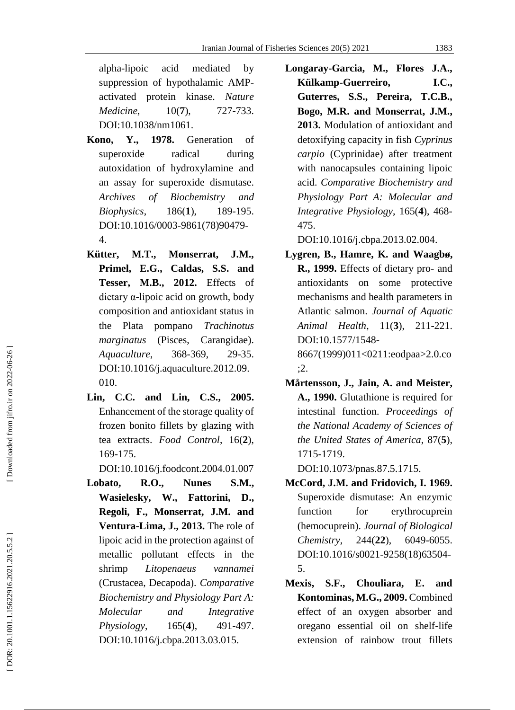alpha acid mediated by suppression of hypothalamic AMP activated protein kinase. *Nature Medicine*.  $10(7)$ , **7**), 727 -733. [DOI:10.1038/nm1061](https://doi.org/10.1038/nm1061) .

- **Kono, Y., 1978.** Generation of superoxide radical during autoxidation of hydroxylamine and an assay for superoxide dismutase. *Archives of Biochemistry and Biophysics*, 186(1), **1**), 189 -195. DOI:10.1016/0003 -9861(78)90479 - 4.
- **Kütter, M.T., Monserrat, J.M., Primel, E.G., Caldas, S.S. and Tesser, M.B. , 2012.** Effects of dietary α -lipoic acid on growth, body composition and antioxidant status in the Plata pompano *Trachinotus marginatus* (Pisces, Carangidae). *Aquaculture*, 368-369. , 29 -35. [DOI:10.1016/j.aquaculture.2012.09.](https://doi.org/10.1016/j.aquaculture.2012.09.010) [010](https://doi.org/10.1016/j.aquaculture.2012.09.010) .
- **Lin, C.C. and Lin, C.S. , 2005.** Enhancement of the storage quality of frozen bonito fillet s by glazing with tea extracts. *Food Control*, 16( **2**), 169 -175.

[DOI:10.1016/j.foodcont.2004.01.007](https://doi.org/10.1016/j.foodcont.2004.01.007)

Lobato, R.O., Nunes **M ., Wasielesky, W., Fattorini, D., Regoli, F., Monserrat, J.M. and Ventura -Lima, J. , 2013.** The role of lipoic acid in the protection against of metallic pollutant effects in the shrimp *Litopenaeus vannamei* (Crustacea, Decapoda). *Comparative Biochemistry and Physiology Part A: Molecular and Integrative Physiology*,  $165(4)$ , **4**), 491 -497. [DOI:10.1016/j.cbpa.2013.03.015](https://doi.org/10.1016/j.cbpa.2013.03.015) .

**Longaray -Garcia, M., Flores J.A., Külkamp -Guerreiro, I.C., Guterres, S.S., Pereira, T.C.B., Bogo, M.R. and Monserrat, J.M. , 2013.** Modulation of antioxidant and detoxifying capacity in fish *Cyprinus carpio* (Cyprinidae) after treatment with nanocapsules containing lipoic acid . *Comparative Biochemistry and Physiology Part A: Molecular and Integrative Physiology*, 165 ( **4**), 468 - 475.

[DOI:10.1016/j.cbpa.2013.02.004](https://doi.org/10.1016/j.cbpa.2013.02.004) .

- **Lygren , B., Hamre, K. and Waagb ø, R. , 1999.** Effects of dietary pro - and antioxidants on some protective mechanisms and health parameters in Atlantic salmon. *Journal of Aquatic Animal Health*, 11 ( **3**), 211 -221. [DOI:10.1577/1548](https://doi.org/10.1577/1548-8667\(1999\)011%3c0211:eodpaa%3e2.0.co;2) - [8667\(1999\)011<0211:eodpaa>2.0.co](https://doi.org/10.1577/1548-8667\(1999\)011%3c0211:eodpaa%3e2.0.co;2) [;2](https://doi.org/10.1577/1548-8667\(1999\)011%3c0211:eodpaa%3e2.0.co;2) .
- **Mårtensson, J., Jain, A. and Meister, A. , 1990.** Glutathione is required for intestinal function. *Proceedings of the National Academy of Sciences of the United States of America*, 87 ( **5**), 1715 -1719.

[DOI:10.1073/pnas.87.5.1715](https://doi.org/10.1073/pnas.87.5.1715) .

- **McCord, J.M. and Fridovich, I. 1969.** Superoxide dismutase: An enzymic function for erythrocuprein (hemocuprein). *Journal of Biological Chemistry,*  $244(22)$ , 6049-6055. [DOI:10.1016/](https://doi.org/10.1016/0024-3205\(75\)90186-1)s0021-9258(18)63504-[5](https://doi.org/10.1016/0024-3205\(75\)90186-1) .
- **Mexis, S.F., Chouliara, E. and Kontominas, M.G. , 2009.** Combined effect of an oxygen absorber and oregano essential oil on shelf-life extension of rainbow trout fillets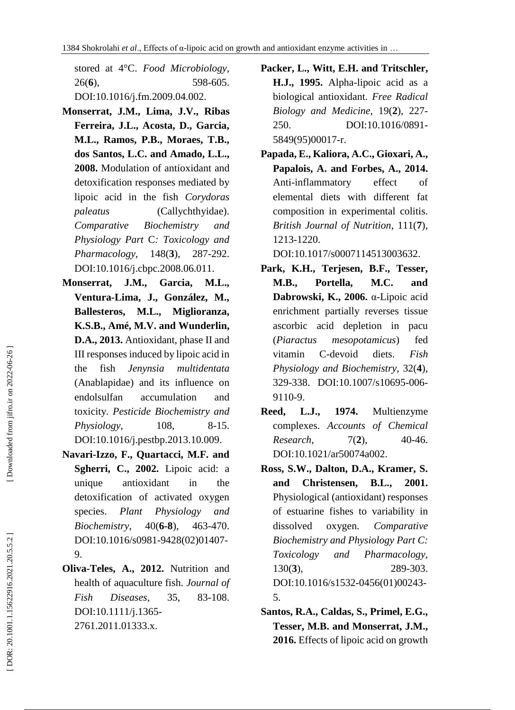stored at 4°C. *Food Microbiology*, 26 ( **6**), 598 -605. [DOI:10.1016/j.fm.2009.04.002](https://doi.org/10.1016/j.fm.2009.04.002) .

- **Monserrat, J.M., Lima, J. V., Ribas Ferreira, J.L., Acosta, D., Garcia, M.L., Ramos, P.B., Moraes, T.B., dos Santos, L.C. and Amado, L.L. , 2008.** Modulation of antioxidant and detoxification responses mediated by lipoic acid in the fish *Corydoras paleatus* (Callychthyidae). *Comparative Biochemistry and Physiology Part*  C*: Toxicology and Pharmacology*,  $148(3)$ , **3**), 287 -292. [DOI:10.1016/j.cbpc.2008.06.011](https://doi.org/10.1016/j.cbpc.2008.06.011) .
- **Monserrat, J.M., Garcia, M.L., Ventura -Lima, J., González, M., Ballesteros, M.L., Miglioranza, K.S.B., Amé, M.V. and Wunderlin, D.A. , 2013.** Antioxidant, phase II and III responses induced by lipoic acid in the fish *Jenynsia multidentata*  (Anablapidae) and its influence on endolsulfan accumulation and toxicity. *Pesticide Biochemistry and Physiology*, 108. 8 -15. [DOI:10.1016/j.pestbp.2013.10.009](https://doi.org/10.1016/j.pestbp.2013.10.009) .
- **Navari -Izzo, F., Quartacci, M.F. and Sgherri, C. , 2002.** Lipoic acid: a unique antioxidant in the detoxification of activated oxygen species. *Plant Physiology and Biochemistry*, ( **6 - 8**), 463 -470. [DOI:10.1016/s0981](https://doi.org/10.1016/s0981-9428\(02\)01407-9) -9428(02)01407 - [9](https://doi.org/10.1016/s0981-9428\(02\)01407-9) .
- **Oliva -Teles, A. , 2012.** Nutrition and health of aquaculture fish. *Journal of Fish Diseases*, 35 , 83 -108. [DOI:10.1111/j.1365](https://doi.org/10.1111/j.1365-2761.2011.01333.x) - [2761.2011.01333.x](https://doi.org/10.1111/j.1365-2761.2011.01333.x) .
- **Packer, L., Witt, E.H. and Tritschler, H.J. , 1995.** Alpha -lipoic acid as a biological antioxidant. *Free Radical Biology and Medicine*, 19 ( **2**), 227 - 250. [DOI:10.1016/0891](https://doi.org/10.1016/0891-5849\(95\)00017-r) - [5849\(95\)00017](https://doi.org/10.1016/0891-5849\(95\)00017-r)-r.
- **Papada, E., Kaliora, A.C., Gioxari, A., Papalois, A. and Forbes, A. , 2014.** Anti -inflammatory effect of elemental diets with different fat composition in experimental colitis. *British Journal of Nutrition*, 111 ( **7**), 1213 -1220.

[DOI:10.1017/s0007114513003632](https://doi.org/10.1017/s0007114513003632) .

- **Park, K.H., Terjesen, B.F., Tesser, M.B., Portella, M.C. and Dabrowski, K. , 2006.** α -Lipoic acid enrichment partially reverses tissue ascorbic acid depletion in pacu (*Piaractus mesopotamicus*) fed vitamin -devoid diets. *Fish Physiology and Biochemistry*, 32 ( **4**), 329 -338. [DOI:10.1007/s10695](https://doi.org/10.1007/s10695-006-9110-9) -006 - [9110](https://doi.org/10.1007/s10695-006-9110-9) - 9 .
- **Reed, L.J. , 1974.** Multienzyme complexes. *Accounts of Chemical Research*, 7 ( **2**), 40 40-46. [DOI:10.1021/ar50074a002](https://doi.org/10.1351/goldbook.m04047) .
- **Ross, S.W., Dalton, D.A., Kramer, S. and Christensen, B.L. , 2001.** Physiological (antioxidant) responses of estuarine fishes to variability in dissolved oxygen. *Comparative Biochemistry and Physiology Part C: Toxicology and Pharmacology*, 130 ( **3**), 289 -303. [DOI:10.1016/s1532](https://doi.org/10.1016/s1532-0456\(01\)00243-5) -0456(01)00243 - [5](https://doi.org/10.1016/s1532-0456\(01\)00243-5) .
- **Santos, R.A., Caldas, S., Primel, E.G., Tesser, M.B. and Monserrat, J.M. , 2016.** Effects of lipoic acid on growth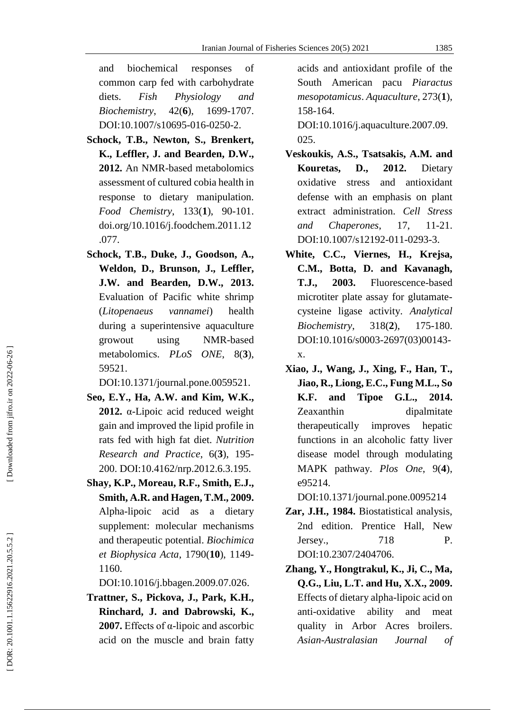and biochemical responses of common carp fed with carbohydrate diets. *Fish Physiology and Biochemistry*,  $42(6)$ , **6**), 1699 -1707. [DOI:10.1007/s10695](https://doi.org/10.1007/s10695-016-0250-2)-016-0250-2.

- **Schock, T.B., Newton, S., Brenkert, K., Leffler, J. and Bearden, D.W., 2012.** An NMR -based metabolomics assessment of cultured cobia health in response to dietary manipulation. *Food Chemistry*, 133( **1**), 90 -101. [doi.org/10.1016/j.foodchem.2011.12](https://doi.org/10.1016/j.foodchem.2011.12.077) [.077](https://doi.org/10.1016/j.foodchem.2011.12.077) .
- **Schock, T.B., Duke, J., Goodson, A., Weldon, D., Brunson, J., Leffler, J.W. and Bearden, D.W. , 2013.** Evaluation of Pacific white shrimp (*Litopenaeus vannamei*) health during a superintensive aquaculture growout using NMR-based metabolomics. *PLoS ONE* , 8 ( **3**), 5952 1.

[DOI:10.1371/journal.pone.0059521](https://doi.org/10.1371/journal.pone.0059521) .

- **Seo, E.Y., Ha, A.W. and Kim, W.K. , 2012.** α -Lipoic acid reduced weight gain and improved the lipid profile in rats fed with high fat diet. *Nutrition Research and Practice*, 6 ( **3**), 195 - 200. [DOI:10.4162/nrp.2012.6.3.195](https://doi.org/10.4162/nrp.2012.6.3.195) .
- **Shay, K.P., Moreau, R.F., Smith, E.J., Smith, A.R. and Hagen, T.M. , 2009.** Alpha -lipoic acid as a dietary supplement: molecular mechanisms and therapeutic potential. *Biochimica et Biophysica Acta*, 1790 (**10**), 1149 - 1160.

[DOI:10.1016/j.bbagen.2009.07.026](https://doi.org/10.1016/j.bbagen.2009.07.026) .

**Trattner, S., Pickova, J., Park, K.H., Rinchard, J. and Dabrowski, K. , 2007.** Effects of α -lipoic and ascorbic acid on the muscle and brain fatty

acids and antioxidant profile of the South American pacu *Piaractus mesopotamicus*. *Aquaculture*, 273 ( **1**), 158 -164.

[DOI:10.1016/j.aquaculture.2007.09.](https://doi.org/10.1016/j.aquaculture.2007.09.025) [025](https://doi.org/10.1016/j.aquaculture.2007.09.025) .

- **Veskoukis, A.S., Tsatsakis, A.M. and Kouretas, D. , 2012.** Dietary oxidative stress and antioxidant defense with an emphasis on plant extract administration. *Cell Stress and Chaperones*, 17  $, 11-21.$ [DOI:10.1007/s12192](https://doi.org/10.1007/s12192-011-0293-3)-011-0293-3.
- **White, C.C., Viernes, H., Krejsa, C.M., Botta, D. and Kavanagh, T.J. , 2003.** Fluorescence -based microtiter plate assay for glutamate cysteine ligase activity. *Analytical Biochemistry*,  $318(2),$ **2**), 175 -180. [DOI:10.1016/s0003](https://doi.org/10.1016/s0003-2697\(03\)00143-x) -2697(03)00143 [x](https://doi.org/10.1016/s0003-2697\(03\)00143-x) .
- **Xiao, J., Wang, J., Xing, F., Han, T., Jiao, R. , Liong, E.C., Fung M.L., So K.F. and Tipoe G.L., 2014.** Zeaxanthin dipalmitate therapeutically improves hepatic functions in an alcoholic fatty liver disease model through modulating MAPK pathway. *Plos One*, 9( **4**), e95214.

[DOI:10.1371/journal.pone.0095214](https://doi.org/10.1371/journal.pone.0095214)

- **Zar, J.H. , 1984.** Biostatistical analysis, 2nd edition. Prentice Hall, New Jersey. , 718 P. [DOI:10.2307/2404706](https://doi.org/10.2307/2404706) .
- **Zhang, Y., Hongtrakul, K., Ji, C., Ma, Q.G., Liu, L.T. and Hu, X.X., 2009.** Effects of dietary alpha -lipoic acid on anti -oxidative ability and meat quality in Arbor Acres broilers. *Asian -Australasian Journal of*